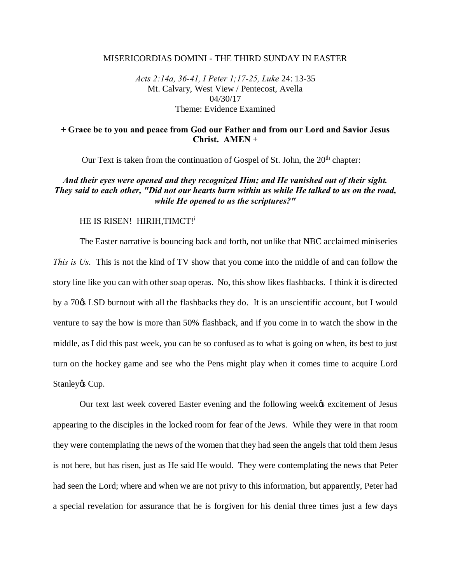#### MISERICORDIAS DOMINI - THE THIRD SUNDAY IN EASTER

*Acts 2:14a, 36-41, I Peter 1;17-25, Luke* 24: 13-35 Mt. Calvary, West View / Pentecost, Avella 04/30/17 Theme: Evidence Examined

## **+ Grace be to you and peace from God our Father and from our Lord and Savior Jesus Christ. AMEN** +

Our Text is taken from the continuation of Gospel of St. John, the  $20<sup>th</sup>$  chapter:

## *And their eyes were opened and they recognized Him; and He vanished out of their sight. They said to each other, "Did not our hearts burn within us while He talked to us on the road, while He opened to us the scriptures?"*

### HE IS RISEN! HIRIH, TIMCT!

The Easter narrative is bouncing back and forth, not unlike that NBC acclaimed miniseries *This is Us*. This is not the kind of TV show that you come into the middle of and can follow the story line like you can with other soap operas. No, this show likes flashbacks. I think it is directed by a 70 $\alpha$  LSD burnout with all the flashbacks they do. It is an unscientific account, but I would venture to say the how is more than 50% flashback, and if you come in to watch the show in the middle, as I did this past week, you can be so confused as to what is going on when, its best to just turn on the hockey game and see who the Pens might play when it comes time to acquire Lord Stanley & Cup.

Our text last week covered Easter evening and the following week<sub>th</sub> excitement of Jesus appearing to the disciples in the locked room for fear of the Jews. While they were in that room they were contemplating the news of the women that they had seen the angels that told them Jesus is not here, but has risen, just as He said He would. They were contemplating the news that Peter had seen the Lord; where and when we are not privy to this information, but apparently, Peter had a special revelation for assurance that he is forgiven for his denial three times just a few days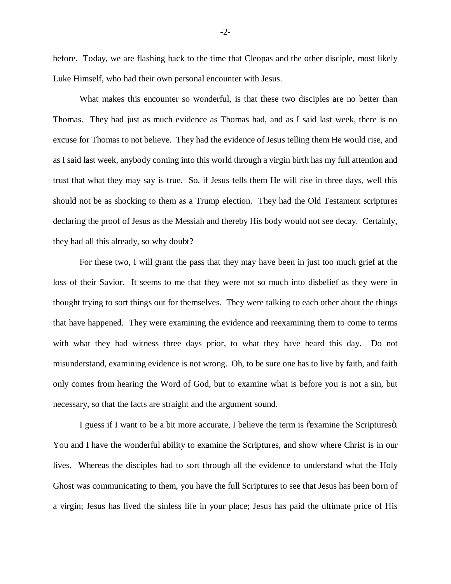before. Today, we are flashing back to the time that Cleopas and the other disciple, most likely Luke Himself, who had their own personal encounter with Jesus.

What makes this encounter so wonderful, is that these two disciples are no better than Thomas. They had just as much evidence as Thomas had, and as I said last week, there is no excuse for Thomas to not believe. They had the evidence of Jesus telling them He would rise, and as I said last week, anybody coming into this world through a virgin birth has my full attention and trust that what they may say is true. So, if Jesus tells them He will rise in three days, well this should not be as shocking to them as a Trump election. They had the Old Testament scriptures declaring the proof of Jesus as the Messiah and thereby His body would not see decay. Certainly, they had all this already, so why doubt?

For these two, I will grant the pass that they may have been in just too much grief at the loss of their Savior. It seems to me that they were not so much into disbelief as they were in thought trying to sort things out for themselves. They were talking to each other about the things that have happened. They were examining the evidence and reexamining them to come to terms with what they had witness three days prior, to what they have heard this day. Do not misunderstand, examining evidence is not wrong. Oh, to be sure one has to live by faith, and faith only comes from hearing the Word of God, but to examine what is before you is not a sin, but necessary, so that the facts are straight and the argument sound.

I guess if I want to be a bit more accurate, I believe the term is  $\delta$ examine the Scriptures $\delta$ . You and I have the wonderful ability to examine the Scriptures, and show where Christ is in our lives. Whereas the disciples had to sort through all the evidence to understand what the Holy Ghost was communicating to them, you have the full Scriptures to see that Jesus has been born of a virgin; Jesus has lived the sinless life in your place; Jesus has paid the ultimate price of His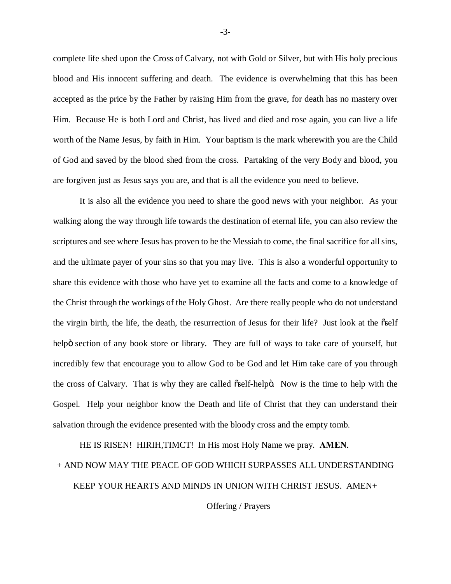complete life shed upon the Cross of Calvary, not with Gold or Silver, but with His holy precious blood and His innocent suffering and death. The evidence is overwhelming that this has been accepted as the price by the Father by raising Him from the grave, for death has no mastery over Him. Because He is both Lord and Christ, has lived and died and rose again, you can live a life worth of the Name Jesus, by faith in Him. Your baptism is the mark wherewith you are the Child of God and saved by the blood shed from the cross. Partaking of the very Body and blood, you are forgiven just as Jesus says you are, and that is all the evidence you need to believe.

It is also all the evidence you need to share the good news with your neighbor. As your walking along the way through life towards the destination of eternal life, you can also review the scriptures and see where Jesus has proven to be the Messiah to come, the final sacrifice for all sins, and the ultimate payer of your sins so that you may live. This is also a wonderful opportunity to share this evidence with those who have yet to examine all the facts and come to a knowledge of the Christ through the workings of the Holy Ghost. Are there really people who do not understand the virgin birth, the life, the death, the resurrection of Jesus for their life? Just look at the  $\tilde{\text{oself}}$ helpö section of any book store or library. They are full of ways to take care of yourself, but incredibly few that encourage you to allow God to be God and let Him take care of you through the cross of Calvary. That is why they are called  $\tilde{\alpha}$ self-helpo. Now is the time to help with the Gospel. Help your neighbor know the Death and life of Christ that they can understand their salvation through the evidence presented with the bloody cross and the empty tomb.

HE IS RISEN! HIRIH,TIMCT! In His most Holy Name we pray. **AMEN**.

## + AND NOW MAY THE PEACE OF GOD WHICH SURPASSES ALL UNDERSTANDING

KEEP YOUR HEARTS AND MINDS IN UNION WITH CHRIST JESUS. AMEN+

Offering / Prayers